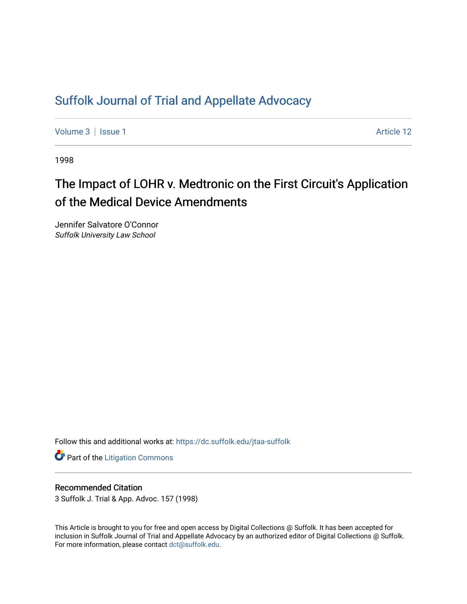## [Suffolk Journal of Trial and Appellate Advocacy](https://dc.suffolk.edu/jtaa-suffolk)

[Volume 3](https://dc.suffolk.edu/jtaa-suffolk/vol3) | [Issue 1](https://dc.suffolk.edu/jtaa-suffolk/vol3/iss1) Article 12

1998

# The Impact of LOHR v. Medtronic on the First Circuit's Application of the Medical Device Amendments

Jennifer Salvatore O'Connor Suffolk University Law School

Follow this and additional works at: [https://dc.suffolk.edu/jtaa-suffolk](https://dc.suffolk.edu/jtaa-suffolk?utm_source=dc.suffolk.edu%2Fjtaa-suffolk%2Fvol3%2Fiss1%2F12&utm_medium=PDF&utm_campaign=PDFCoverPages) 

**Part of the [Litigation Commons](https://network.bepress.com/hgg/discipline/910?utm_source=dc.suffolk.edu%2Fjtaa-suffolk%2Fvol3%2Fiss1%2F12&utm_medium=PDF&utm_campaign=PDFCoverPages)** 

#### Recommended Citation

3 Suffolk J. Trial & App. Advoc. 157 (1998)

This Article is brought to you for free and open access by Digital Collections @ Suffolk. It has been accepted for inclusion in Suffolk Journal of Trial and Appellate Advocacy by an authorized editor of Digital Collections @ Suffolk. For more information, please contact [dct@suffolk.edu](mailto:dct@suffolk.edu).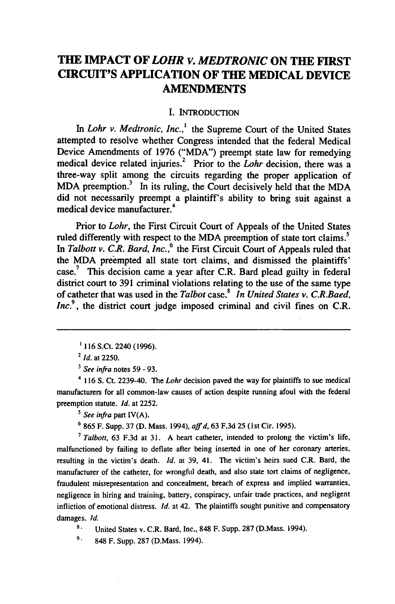## **THE IMPACT OF** *LOHR V. MEDTRONIC* **ON THE FIRST CIRCUIT'S APPLICATION OF THE MEDICAL DEVICE AMENDMENTS**

#### **I.** INTRODUCTION

In *Lohr v. Medtronic, Inc.*,<sup>1</sup> the Supreme Court of the United States attempted to resolve whether Congress intended that the federal Medical Device Amendments of **1976** ("MDA") preempt state law for remedying **<sup>2</sup>** medical device related injuries. Prior to the *Lohr* decision, there was a three-way split among the circuits regarding the proper application of MDA preemption.<sup>3</sup> In its ruling, the Court decisively held that the MDA did not necessarily preempt a plaintiff's ability to bring suit against a medical device manufacturer.<sup>4</sup>

Prior to *Lohr,* the First Circuit Court of Appeals of the United States ruled differently with respect to the MDA preemption of state tort claims.<sup>5</sup> In Talbott v. C.R. Bard, Inc.,<sup>6</sup> the First Circuit Court of Appeals ruled that the MDA preempted all state tort claims, and dismissed the plaintiffs' case.7 This decision came a year after C.R. Bard plead guilty in federal district court to **391** criminal violations relating to the use of the same type of catheter that was used in the *Talbot* case.<sup>8</sup> In United States v. C.R.Baed,  $Inc<sup>9</sup>$ , the district court judge imposed criminal and civil fines on C.R.

*3 See infra* notes **59 - 93.**

4 **116 S.** Ct. 2239-40. **The** Lohr decision paved the way for plaintiffs to sue medical manufacturers for all common-law causes of action despite running afoul with the federal preemption statute. *Id.* at **2252.**

*5 See infra* part IV(A).

**6 865** F. Supp. **37 (D.** Mass. 1994), *affd,* **63 F.3d 25** (1st Cir. **1995).**

*7 Talbott,* **63 F.3d** at **31. A** heart catheter, intended to prolong the victim's life, malfunctioned **by** failing to deflate after being inserted in one of her coronary arteries, resulting in the victim's death. *Id.* at **39,** 41. The victim's heirs sued C.R. Bard, the manufacturer of the catheter, for wrongful death, and also state tort claims of negligence, fraudulent misrepresentation and concealment, breach of express and implied warranties, negligence in hiring and training, battery, conspiracy, unfair trade practices, and negligent infliction of emotional distress. *Id.* at 42. The plaintiffs sought punitive and compensatory damages. *Id.*

**8.** United States v. C.R. Bard, Inc., 848 F. Supp. 287 (D.Mass. 1994).

**9.** 848 F. Supp. 287 (D.Mass. 1994).

**<sup>116</sup>** S.Ct. 2240 **(1996).**

*<sup>2</sup> Id.* at **2250.**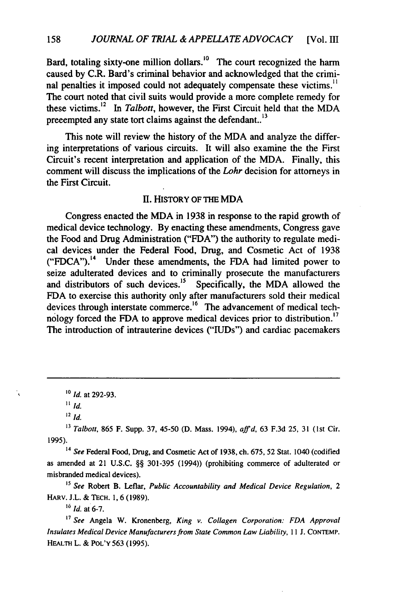Bard, totaling sixty-one million dollars.<sup>10</sup> The court recognized the harm caused by C.R. Bard's criminal behavior and acknowledged that the criminal penalties it imposed could not adequately compensate these victims.<sup>11</sup> The court noted that civil suits would provide a more complete remedy for these victims.<sup>12</sup> In *Talbott*, however, the First Circuit held that the MDA precempted any state tort claims against the defendant..<sup>13</sup>

This note will review the history of the MDA and analyze the differing interpretations of various circuits. It will also examine the the First Circuit's recent interpretation and application of the MDA. Finally, this comment will discuss the implications of the *Lohr* decision for attorneys in the First Circuit.

#### **I.** HISTORY OF THE MDA

Congress enacted the MDA in 1938 in response to the rapid growth of medical device technology. By enacting these amendments, Congress gave the Food and Drug Administration ("FDA") the authority to regulate medical devices under the Federal Food, Drug, and Cosmetic Act of 1938 ("FDCA").<sup>14</sup> Under these amendments, the FDA had limited power to seize adulterated devices and to criminally prosecute the manufacturers and distributors of such devices.<sup>15</sup> Specifically, the MDA allowed the FDA to exercise this authority only after manufacturers sold their medical devices through interstate commerce.<sup>16</sup> The advancement of medical technology forced the FDA to approve medical devices prior to distribution.<sup>17</sup> The introduction of intrauterine devices ("IUDs") and cardiac pacemakers

Ų

*13 Talbott,* 865 F. Supp. **37,** 45-50 **(D.** Mass. 1994), *affd,* 63 F.3d **25, 31** (Ist Cir. 1995).

<sup>14</sup>*See* Federal Food, Drug, and Cosmetic Act of 1938, ch. **675,** 52 Stat. 1040 (codified as amended at 21 **U.S.C.** §§ 301-395 (1994)) (prohibiting commerce of adulterated or misbranded medical devices).

*<sup>15</sup>See* Robert B. Leflar, *Public Accountability and Medical Device Regulation, 2* HARV. **J.L.** & TEcH. **1,** 6 **(1989).**

*1* **Id.** at **6-7.**

*'7 See* Angela W. Kronenberg, *King v. Collagen Corporation: FDA Approval Insulates Medical Device Manufacturers from State Common Law Liability, I* **I J.** CONTEMP. HEALTm L. & POL'Y 563 (1995).

*<sup>&#</sup>x27;o* **Id.** at 292-93.

*<sup>11</sup>* Id.

<sup>12</sup> *Id.*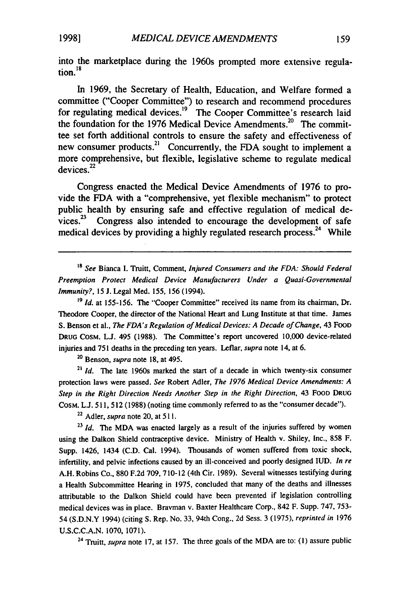into the marketplace during the 1960s prompted more extensive regulation."

In 1969, the Secretary of Health, Education, and Welfare formed a committee ("Cooper Committee") to research and recommend procedures for regulating medical devices.<sup>19</sup> The Cooper Committee's research laid the foundation for the 1976 Medical Device Amendments.<sup>20</sup> The committee set forth additional controls to ensure the safety and effectiveness of new consumer products.<sup>21</sup> Concurrently, the FDA sought to implement a more comprehensive, but flexible, legislative scheme to regulate medical  $devices<sup>22</sup>$ 

Congress enacted the Medical Device Amendments of 1976 to provide the FDA with a "comprehensive, yet flexible mechanism" to protect public health by ensuring safe and effective regulation of medical de $vices.<sup>23</sup>$  Congress also intended to encourage the development of safe medical devices by providing a highly regulated research process.<sup>24</sup> While

*<sup>38</sup>See* Bianca I. Truitt, Comment, *Injured Consumers and the FDA: Should Federal Preemption Protect Medical Device Manufacturers Under a Quasi-Governmental Immunity?,* 15 J. Legal Med. 155, 156 (1994).

<sup>19</sup> *Id.* at 155-156. The "Cooper Committee" received its name from its chairman, Dr. Theodore Cooper, the director of the National Heart and Lung Institute at that time. James S. Benson et al., *The FDA's Regulation of Medical Devices: A Decade of Change,* 43 FOOD DRUG CosM. **L.J.** 495 (1988). The Committee's report uncovered 10,000 device-related injuries and 751 deaths in the preceding ten years. Leflar, *supra* note 14, at 6.

<sup>20</sup> Benson, *supra* note 18, at 495.

**23** *Id.* The late 1960s marked the start of a decade in which twenty-six consumer protection laws were passed. *See* Robert Adler, *The 1976 Medical Device Amendments: A Step in the Right Direction Needs Another Step in the Right Direction,* 43 FOOD DRUG COSM. **L.J.** 511, 512 (1988) (noting time commonly referred to as the "consumer decade").

<sup>22</sup>Adler, *supra* note 20, at 511.

**<sup>23</sup>***Id. The* MDA was enacted largely as a result of the injuries suffered by women using the Dalkon Shield contraceptive device. Ministry of Health v. Shiley, Inc., 858 F. Supp. 1426, 1434 (C.D. Cal. 1994). Thousands of women suffered from toxic shock, infertility, and pelvic infections caused by an ill-conceived and poorly designed IUD. *In re* A.H. Robins Co., 880 F.2d 709, 710-12 (4th Cir. 1989). Several witnesses testifying during a Health Subcommittee Hearing in 1975, concluded that many of the deaths and illnesses attributable to the Dalkon Shield could have been prevented if legislation controlling medical devices was in place. Bravman v. Baxter Healthcare Corp., 842 F. Supp. 747, 753- 54 (S.D.N.Y 1994) (citing S. Rep. No. 33, 94th Cong., 2d Sess. 3 (1975), *reprinted in* 1976 U.S.C.C.A.N. 1070, 1071).

**<sup>24</sup>**Truitt, *supra* note 17, at 157. The three goals of the MDA are to: **(1)** assure public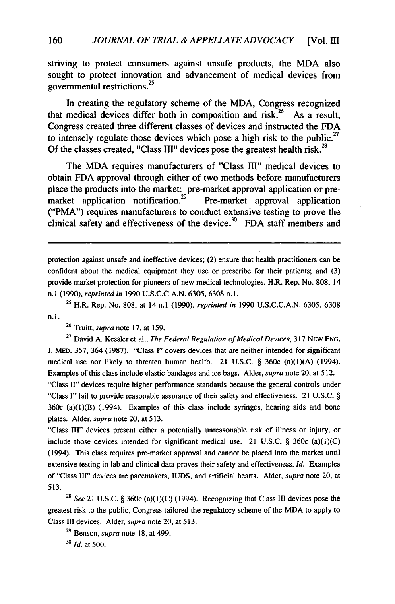striving to protect consumers against unsafe products, the MDA also sought to protect innovation and advancement of medical devices from governmental restrictions.<sup>25</sup>

In creating the regulatory scheme of the MDA, Congress recognized that medical devices differ both in composition and risk.<sup>26</sup> As a result, Congress created three different classes of devices and instructed the FDA to intensely regulate those devices which pose a high risk to the public.<sup>27</sup> Of the classes created, "Class III" devices pose the greatest health risk.<sup>28</sup>

The MDA requires manufacturers of "Class III" medical devices to obtain FDA approval through either of two methods before manufacturers place the products into the market: pre-market approval application or premarket application notification.<sup>29</sup> Pre-market approval application ("PMA") requires manufacturers to conduct extensive testing to prove the clinical safety and effectiveness of the device.<sup>30</sup> FDA staff members and

protection against unsafe and ineffective devices; (2) ensure that health practitioners can be confident about the medical equipment they use or prescribe for their patients; and (3) provide market protection for pioneers of new medical technologies. H.R. Rep. No. 808, 14 n.1 (1990), *reprinted in* 1990 U.S.C.C.A.N. 6305, 6308 n.l.

**<sup>25</sup>**H.R. Rep. No. 808, at 14 n.1 (1990), *reprinted in* 1990 U.S.C.C.A.N. 6305, 6308 n. **1.**

**<sup>26</sup>**Truitt, *supra* note 17, at 159.

**<sup>27</sup>**David A. Kessler et al., *The Federal Regulation of Medical Devices,* 317 NEw ENG. J. MED. 357, 364 (1987). "Class I" covers devices that are neither intended for significant medical use nor likely to threaten human health. 21 U.S.C.  $\S$  360c (a)(1)(A) (1994). Examples of this class include elastic bandages and ice bags. Alder, *supra* note 20, at 512. "Class II" devices require higher performance standards because the general controls under "Class I" fail to provide reasonable assurance of their safety and effectiveness. 21 U.S.C. §  $360c$  (a)( $1$ )(B) (1994). Examples of this class include syringes, hearing aids and bone plates. Alder, *supra* note 20, at 513.

"Class III" devices present either a potentially unreasonable risk of illness or injury, or include those devices intended for significant medical use. 21 U.S.C.  $\S$  360c (a)(1)(C) (1994). This class requires pre-market approval and cannot be placed into the market until extensive testing in lab and clinical data proves their safety and effectiveness. *Id.* Examples of "Class III" devices are pacemakers, IUDS, and artificial hearts. Alder, *supra* note 20, at 513.

*28 See* 21 U.S.C. § 360c (a)(l)(C) (1994). Recognizing that Class III devices pose the greatest risk to the public, Congress tailored the regulatory scheme of the MDA to apply to Class III devices. Alder, supra note 20, at 513.

**29** Benson, supra note 18, at 499.

**30** *Id.* at 500.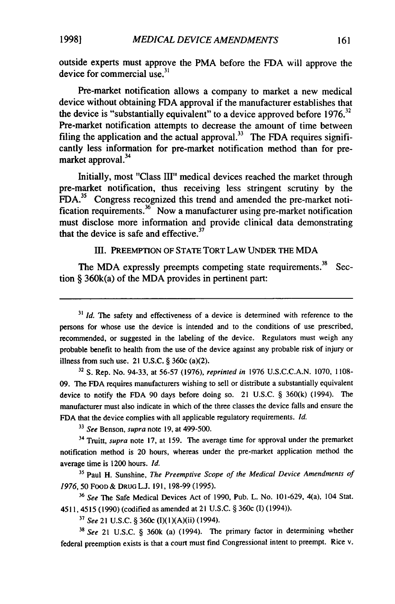**19981**

outside experts must approve the PMA before the FDA will approve the device for commercial use. $31$ 

Pre-market notification allows a company to market a new medical device without obtaining FDA approval if the manufacturer establishes that the device is "substantially equivalent" to a device approved before  $1976$ <sup>32</sup> Pre-market notification attempts to decrease the amount of time between filing the application and the actual approval.<sup>33</sup> The FDA requires significantly less information for pre-market notification method than for premarket approval.<sup>34</sup>

Initially, most "Class Ill" medical devices reached the market through pre-market notification, thus receiving less stringent scrutiny by the FDA.<sup>35</sup> Congress recognized this trend and amended the pre-market notification requirements. <sup>3</sup>6 Now a manufacturer using pre-market notification must disclose more information and provide clinical data demonstrating that the device is safe and effective.<sup>37</sup>

III. PREEMPTION OF **STATE** TORT LAW **UNDER** THE MDA

The MDA expressly preempts competing state requirements.<sup>38</sup> Section § 360k(a) of the MDA provides in pertinent part:

**<sup>32</sup>**S. Rep. No. 94-33, at 56-57 (1976), reprinted in 1976 U.S.C.C.A.N. 1070, 1108- 09. The FDA requires manufacturers wishing to sell or distribute a substantially equivalent device to notify the FDA 90 days before doing so. 21 U.S.C. § 360(k) (1994). The manufacturer must also indicate in which of the three classes the device falls and ensure the FDA that the device complies with all applicable regulatory requirements. **Id.**

*<sup>33</sup>*See Benson, *supra* note **19,** at 499-500.

**<sup>34</sup>**Truitt, supra note **17,** at **159.** The average time for approval under the premarket notification method is 20 hours, whereas under the pre-market application method the average time is 1200 hours. **Id.**

**<sup>35</sup>**Paul H. Sunshine, The Preemptive *Scope of the Medical* Device *Amendments of 1976,* 50 FOOD & **DRUG L.J.** 191, 198-99 (1995).

*<sup>36</sup>See* The Safe Medical Devices Act of 1990, Pub. L. No. 101-629, 4(a), 104 Stat. 4511,4515 (1990) (codified as amended at 21 U.S.C. § 360c (I) (1994)).

*" See* 21 U.S.C. § 360c (I)(l)(A)(ii) (1994).

**<sup>38</sup>***See* 21 U.S.C. § 360k (a) (1994). The primary factor in determining whether federal preemption exists is that a court must find Congressional intent to preempt. Rice v.

<sup>&</sup>lt;sup>31</sup> *Id.* The safety and effectiveness of a device is determined with reference to the persons for whose use the device is intended and to the conditions of use prescribed, recommended, or suggested in the labeling of the device. Regulators must weigh any probable benefit to health from the use of the device against any probable risk of injury or illness from such use. 21 U.S.C.  $\S$  360c (a)(2).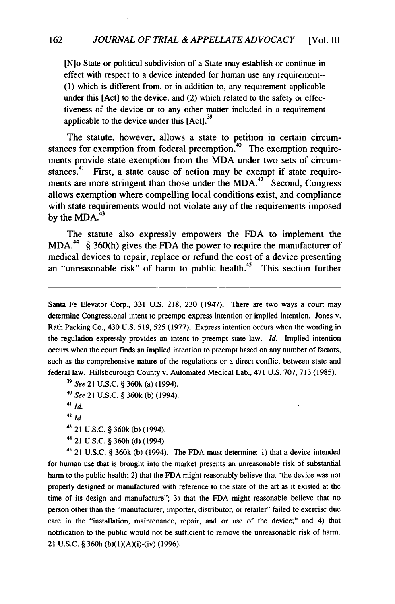[N]o State or political subdivision of a State may establish or continue in effect with respect to a device intended for human use any requirement--**(1)** which is different from, or in addition to, any requirement applicable under this [Act] to the device, and (2) which related to the safety or effectiveness of the device or to any other matter included in a requirement applicable to the device under this [Act].<sup>39</sup>

The statute, however, allows a state to petition in certain circumstances for exemption from federal preemption. $40$  The exemption requirements provide state exemption from the MDA under two sets of circumstances.<sup>4</sup> First, a state cause of action may be exempt if state requirements are more stringent than those under the MDA. $42 \text{ }^{\circ}$ Second, Congress allows exemption where compelling local conditions exist, and compliance with state requirements would not violate any of the requirements imposed by the  $MDA.<sup>43</sup>$ 

The statute also expressly empowers the FDA to implement the MDA.<sup>44</sup> § 360(h) gives the FDA the power to require the manufacturer of medical devices to repair, replace or refund the cost of a device presenting an "unreasonable risk" of harm to public health.<sup>45</sup> This section further

Santa Fe Elevator Corp., 331 U.S. 218, 230 (1947). There are two ways a court may determine Congressional intent to preempt: express intention or implied intention. Jones v. Rath Packing Co., 430 U.S. 519, 525 (1977). Express intention occurs when the wording in the regulation expressly provides an intent to preempt state law. *Id.* Implied intention occurs when the court finds an implied intention to preempt based on any number of factors, such as the comprehensive nature of the regulations or a direct conflict between state and federal law. Hillsbourough County v. Automated Medical Lab., 471 U.S. 707, 713 (1985).

*<sup>40</sup>See* 21 U.S.C. § 360k (b) (1994).

**'** 21 U.S.C. § 360h (d) (1994).

4' 21 **U.S.C.** § 360k (b) (1994). The FDA must determine: I) that a device intended for human use that is brought into the market presents an unreasonable risk of substantial harm to the public health; 2) that the FDA might reasonably believe that "the device was not properly designed or manufactured with reference to the state of the art as it existed at the time of its design and manufacture"; 3) that the FDA might reasonable believe that no person other than the "manufacturer, importer, distributor, or retailer" failed to exercise due care in the "installation, maintenance, repair, and or use of the device;" and 4) that notification to the public would not be sufficient to remove the unreasonable risk of harm. 21 U.S.C. § 360h (b)(1)(A)(i)-(iv) (1996).

*<sup>&#</sup>x27;9 See* 21 U.S.C. § 360k (a) (1994).

*<sup>41</sup> id.*

 $42$ *id.* 

**<sup>43</sup>**21 **U.S.C.** § 360k (b) (1994).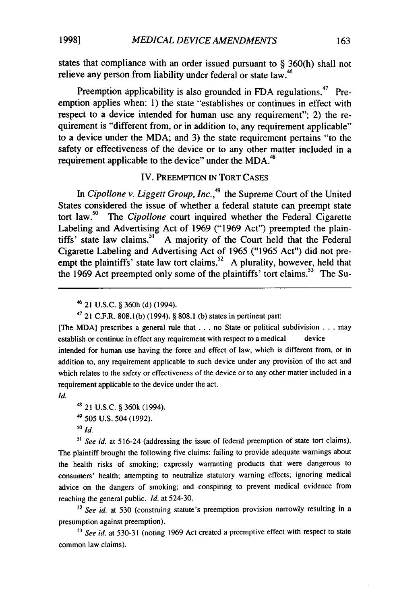states that compliance with an order issued pursuant to **§ 360(h)** shall not relieve any person from liability under federal or state law.<sup>46</sup>

Preemption applicability is also grounded in FDA regulations.<sup>47</sup> Preemption applies when: **1)** the state "establishes or continues in effect with respect to a device intended for human use any requirement"; 2) the requirement is "different from, or in addition to, any requirement applicable" to a device under the MDA; and **3)** the state requirement pertains "to the safety or effectiveness of the device or to any other matter included in a requirement applicable to the device" under the MDA.<sup>48</sup>

#### IV. PREEMPTION IN TORT CASES

In *Cipollone v. Liggett Group, Inc.*<sup>49</sup> the Supreme Court of the United States considered the issue of whether a federal statute can preempt state tort law.5° The *Cipollone* court inquired whether the Federal Cigarette Labeling and Advertising Act of 1969 ("1969 Act") preempted the plaintiffs' state law claims.<sup>51</sup> A majority of the Court held that the Federal Cigarette Labeling and Advertising Act of 1965 ("1965 Act") did not preempt the plaintiffs' state law tort claims.<sup>52</sup> A plurality, however, held that the 1969 Act preempted only some of the plaintiffs' tort claims.<sup>53</sup> The Su-

**<sup>47</sup>**21 C.F.R. 808.1(b) (1994). § 808.1 (b) states in pertinent part:

[The MDA] prescribes a general rule that **...** no State or political subdivision . . . may establish or continue in effect any requirement with respect to a medical device

intended for human use having the force and effect of law, which is different from, or in addition to, any requirement applicable to such device under any provision of the act and which relates to the safety or effectiveness of the device or to any other matter included in a requirement applicable to the device under the act.

*Id.*

```
48 21 U.S.C. § 360k (1994).
49505 U.S. 504 (1992).
```
*<sup>50</sup>Id.*

<sup>51</sup> See id. at 516-24 (addressing the issue of federal preemption of state tort claims). The plaintiff brought the following five claims: failing to provide adequate warnings about the health risks of smoking; expressly warranting products that were dangerous to consumers' health; attempting to neutralize statutory warning effects; ignoring medical advice on the dangers of smoking; and conspiring to prevent medical evidence from reaching the general public. *Id.* at 524-30.

*52 See id.* at 530 (construing statute's preemption provision narrowly resulting in a presumption against preemption).

*<sup>13</sup>See id.* at 530-31 (noting 1969 Act created a preemptive effect with respect to state common law claims).

<sup>4</sup> 21 U.S.C. § 360h **(d)** (1994).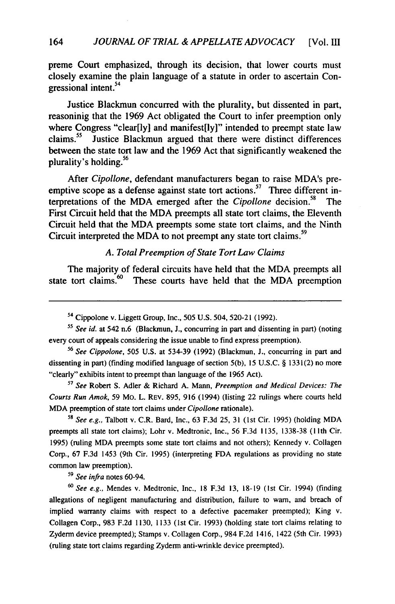preme Court emphasized, through its decision, that lower courts must closely examine the plain language of a statute in order to ascertain Congressional intent.<sup>54</sup>

Justice Blackmun concurred with the plurality, but dissented in part, reasoninig that the **1969** Act obligated the Court to infer preemption only where Congress "clear[ly] and manifest[ly]" intended to preempt state law claims." Justice Blackmun argued that there were distinct differences between the state tort law and the **1969** Act that significantly weakened the **<sup>56</sup>** plurality's holding.

After *Cipollone,* defendant manufacturers began to raise MDA's preemptive scope as a defense against state tort actions.<sup>57</sup> Three different in-**<sup>58</sup>** terpretations of the MDA emerged after the *Cipollone* decision. The First Circuit held that the MDA preempts all state tort claims, the Eleventh Circuit held that the MDA preempts some state tort claims, and the Ninth Circuit interpreted the MDA to not preempt any state tort claims.<sup>59</sup>

#### *A. Total Preemption of State Tort Law Claims*

The majority of federal circuits have held that the MDA preempts all state tort claims.<sup>60</sup> These courts have held that the MDA preemption

<sup>56</sup>*See Cippolone,* 505 U.S. at 534-39 (1992) (Blackmun, **J.,** concurring in part and dissenting in part) (finding modified language of section 5(b), 15 U.S.C. § 1331(2) no more "clearly" exhibits intent to preempt than language of the 1965 Act).

**<sup>57</sup>***See* Robert S. Adler & Richard A. Mann, *Preemption and Medical Devices: The Courts Run Amok,* 59 Mo. L. REV. 895, 916 (1994) (listing 22 rulings where courts held MDA preemption of state tort claims under *Cipollone* rationale).

<sup>58</sup>*See e.g.,* Talbott v. C.R. Bard, Inc., 63 F.3d 25, 31 (1st Cir. 1995) (holding MDA preempts all state tort claims); Lohr v. Medtronic, Inc., 56 F.3d 1135, 1338-38 **(11** th Cir. 1995) (ruling MDA preempts some state tort claims and not others); Kennedy v. Collagen Corp., 67 F.3d 1453 (9th Cir. 1995) (interpreting FDA regulations as providing no state common law preemption).

*<sup>59</sup>See infra* notes 60-94.

*<sup>60</sup>See e.g.,* Mendes v. Medtronic, Inc., 18 F.3d **13,** 18-19 (1st Cir. 1994) (finding allegations of negligent manufacturing and distribution, failure to warn, and breach of implied warranty claims with respect to a defective pacemaker preempted); King v. Collagen Corp., 983 F.2d 1130, 1133 (1st Cir. 1993) (holding state tort claims relating to Zyderm device preempted); Stamps v. Collagen Corp., 984 F.2d 1416, 1422 (5th Cir. 1993) (ruling state tort claims regarding Zyderm anti-wrinkle device preempted).

<sup>&</sup>lt;sup>54</sup> Cippolone v. Liggett Group, Inc., 505 U.S. 504, 520-21 (1992).

*<sup>55</sup>See id.* at 542 n.6 (Blackmun, **J.,** concurring in part and dissenting in part) (noting every court of appeals considering the issue unable to find express preemption).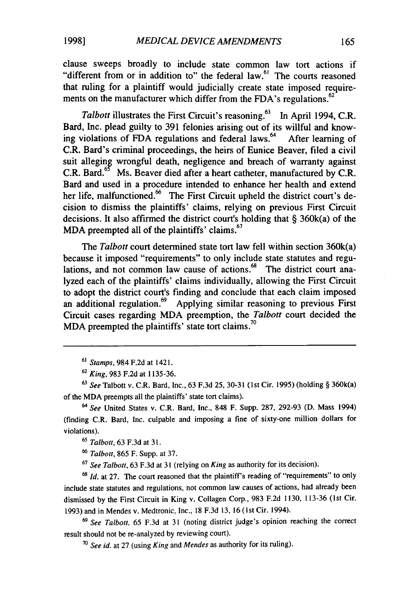clause sweeps broadly to include state common law tort actions if "different from or in addition to" the federal law.<sup>61</sup> The courts reasoned that ruling for a plaintiff would judicially create state imposed requirements on the manufacturer which differ from the FDA's regulations.<sup>62</sup>

*Talbott* illustrates the First Circuit's reasoning.<sup>63</sup> In April 1994, C.R. Bard, Inc. plead guilty to 391 felonies arising out of its willful and knowing violations of FDA regulations and federal laws.<sup>64</sup> After learning of C.R. Bard's criminal proceedings, the heirs of Eunice Beaver, filed a civil suit alleging wrongful death, negligence and breach of warranty against **65** C.R. Bard.<sup>65</sup> Ms. Beaver died after a heart catheter, manufactured by C.R. Bard and used in a procedure intended to enhance her health and extend  $\frac{1}{\pi}$  her life, malfunctioned.<sup>66</sup> The First Circuit upheld the district court's decision to dismiss the plaintiffs' claims, relying on previous First Circuit decisions. It also affirmed the district court's holding that § 360k(a) of the MDA preempted all of the plaintiffs' claims.<sup>67</sup>

*The Talbott* court determined state tort law fell within section 360k(a) because it imposed "requirements" to only include state statutes and regulations, and not common law cause of actions.<sup>88</sup> The district court analyzed each of the plaintiffs' claims individually, allowing the First Circuit to adopt the district court's finding and conclude that each claim imposed an additional regulation.<sup>69</sup> Applying similar reasoning to previous First Circuit cases regarding MDA preemption, the *Talbott* court decided the MDA preempted the plaintiffs' state tort claims.<sup>70</sup>

**<sup>61</sup>***Stamps,* 984 F.2d at 1421.

*<sup>64</sup>See* United States v. C.R. Bard, Inc., 848 F. Supp. 287, 292-93 (D. Mass 1994) (finding C.R. Bard, Inc. culpable and imposing a fine of sixty-one million dollars for violations).

**<sup>65</sup>***Talbott,* 63 F.3d at 31.

*<sup>66</sup>Talbott,* 865 F. Supp. at 37.

**<sup>67</sup>***See Talbott,* 63 F.3d at **31** (relying on *King* as authority for its decision).

<sup>68</sup> *Id.* at 27. The court reasoned that the plaintiff's reading of "requirements" to only include state statutes and regulations, not common law causes of actions, had already been dismissed by the First Circuit in King v. Collagen Corp., 983 F.2d **1130,** 113-36 (1st Cir. 1993) and in Mendes v. Medtronic, Inc., 18 F.3d 13, 16 (ist Cir. 1994).

*<sup>69</sup>See Talbott,* 65 F.3d at 31 (noting district judge's opinion reaching the correct result should not be re-analyzed by reviewing court).

**<sup>70</sup>***See id.* at 27 (using *King* and *Mendes* as authority for its ruling).

**<sup>62</sup>***King,* 983 F.2d at 1135-36.

**<sup>63</sup>***See* Talbott v. C.R. Bard, Inc., 63 F.3d **25,** 30-31 (1st Cir. 1995) (holding § 360k(a) of the MDA preempts all the plaintiffs' state tort claims).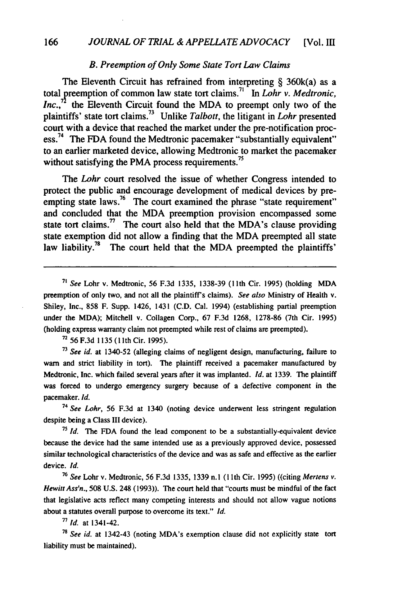#### *B. Preemption of Only Some State Tort Law Claims*

The Eleventh Circuit has refrained from interpreting  $\S$  360k(a) as a total preemption of common law state tort claims." In *Lohr v. Medtronic, Inc.*," the Eleventh Circuit found the MDA to preempt only two of the plaintiffs' state tort claims.73 Unlike *Talbott,* the litigant in *Lohr* presented court with a device that reached the market under the pre-notification process.<sup>74</sup> The FDA found the Medtronic pacemaker "substantially equivalent" to an earlier marketed device, allowing Medtronic to market the pacemaker without satisfying the PMA process requirements.<sup>75</sup>

The *Lohr* court resolved the issue of whether Congress intended to protect the public and encourage development of medical devices by preempting state laws.<sup>76</sup> The court examined the phrase "state requirement" and concluded that the MDA preemption provision encompassed some state tort claims.<sup> $n$ </sup> The court also held that the MDA's clause providing state exemption did not allow a finding that the MDA preempted all state law liability.<sup>78</sup> The court held that the MDA preempted the plaintiffs'

*<sup>71</sup>*See Lohr v. Medtronic, 56 F.3d 1335, 1338-39 (1Ith Cir. 1995) (holding MDA preemption of only two, and not all the plaintiff's claims). See also Ministry of Health v. Shiley, Inc., 858 F. Supp. 1426, 1431 (C.D. Cal. 1994) (establishing partial preemption under the MDA); Mitchell v. Collagen Corp., 67 F.3d 1268, 1278-86 (7th Cir. 1995) (holding express warranty claim not preempted while rest of claims are preempted).

<sup>72</sup> 56 F.3d 1135 (11th Cir. 1995).

**<sup>73</sup>**See id. at 1340-52 (alleging claims of negligent design, manufacturing, failure to warn and strict liability in tort). The plaintiff received a pacemaker manufactured by Medtronic, Inc. which failed several years after it was implanted. **Id.** at 1339. The plaintiff was forced to undergo emergency surgery because of a defective component in the pacemaker. **Id.**

*<sup>74</sup>*See Lohr, 56 F.3d at 1340 (noting device underwent less stringent regulation despite being a Class III device).

**<sup>75</sup>Id.** The FDA found the lead component to be a substantially-equivalent device because the device had the same intended use as a previously approved device, possessed similar technological characteristics of the device and was as safe and effective as the earlier device. **Id.**

**<sup>76</sup>**See Lohr v. Medtronic, 56 F.3d 1335, 1339 **n.I** (1 th Cir. 1995) ((citing Mertens v. *Hewitt Ass'n.,* 508 U.S. 248 (1993)). The court held that "courts must be mindful of the fact that legislative acts reflect many competing interests and should not allow vague notions about a statutes overall purpose to overcome its text." *id.*

**<sup>77</sup>***Id.* at 1341-42.

**<sup>78</sup>***See id.* at 1342-43 (noting MDA's exemption clause did not explicitly state tort liability must be maintained).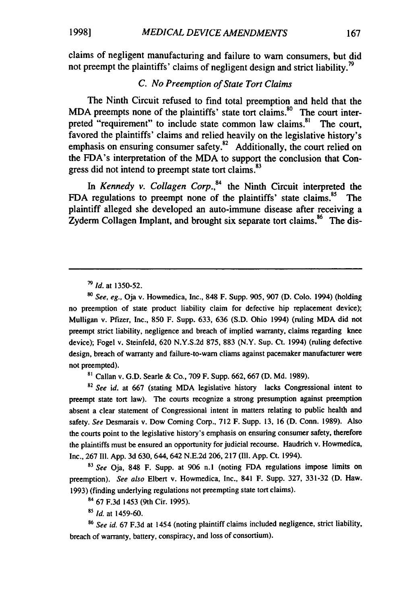claims of negligent manufacturing and failure to warn consumers, but did not preempt the plaintiffs' claims of negligent design and strict liability.<sup>79</sup>

#### *C. No Preemption of State Tort Claims*

The Ninth Circuit refused to find total preemption and held that the MDA preempts none of the plaintiffs' state tort claims.<sup>80</sup> The court interpreted "requirement" to include state common law claims.<sup>81</sup> The court, favored the plaintiffs' claims and relied heavily on the legislative history's emphasis on ensuring consumer safety. $82$  Additionally, the court relied on the FDA's interpretation of the MDA to support the conclusion that Congress did not intend to preempt state tort claims.<sup>83</sup>

*In Kennedy v. Collagen Corp.,4* the Ninth Circuit interpreted the **FDA** regulations to preempt none of the plaintiffs' state claims." The plaintiff alleged she developed an auto-immune disease after receiving a Zyderm Collagen Implant, and brought six separate tort claims.<sup>86</sup> The dis-

*go See, eg.,* Oja v. Howmedica, Inc., **848** F. Supp. **905, 907 (D. Colo.** 1994) (holding no preemption of state product liability claim for defective hip replacement device); Mulligan v. Pfizer, Inc., **850** F. Supp. **633, 636 (S.D.** Ohio 1994) (ruling MDA did not preempt strict liability, negligence and breach of implied warranty, claims regarding knee device); Fogel v. Steinfeld, **620 N.Y.S.2d 875, 883** (N.Y. Sup. Ct. 1994) (ruling defective design, breach of warranty and failure-to-warn cliams against pacemaker manufacturer were not preempted).

**s,** Callan v. **G.D.** Searle **&** Co., **709** F. Supp. **662, 667 (D. Md. 1989).**

**<sup>82</sup>***See id.* at **667** (stating MDA legislative history lacks Congressional intent to preempt state tort law). The courts recognize a strong presumption against preemption absent a clear statement of Congressional intent in matters relating to public health and safety. *See* Desmarais v. Dow Coming Corp., **712** F. Supp. **13, 16 (D.** Conn. **1989).** Also the courts point to the legislative history's emphasis on ensuring consumer safety, therefore the plaintiffs must be ensured an opportunity for judicial recourse. Haudrich v. Howmedica, Inc., **267 Ill. App. 3d** 630, 644, 642 **N.E.2d 206, 217 (Il1. App.** Ct. 1994).

*<sup>83</sup>See* Oja, **848** F. Supp. at **906** n.1 (noting **FDA** regulations impose limits on preemption). *See also* Elbert v. Howmedica, Inc., 841 F. Supp. **327, 331-32 (D.** Haw. **1993)** (finding underlying regulations not preempting state tort claims).

<sup>84</sup>**67 F.3d** 1453 (9th Cir. **1995).**

**<sup>85</sup>***Id.* at 1459-60.

**<sup>86</sup>***See id.* **67 F.3d** at 1454 (noting plaintiff claims included negligence, strict liability, breach of warranty, battery, conspiracy, and loss of consortium).

*<sup>79</sup>Id.* at **1350-52.**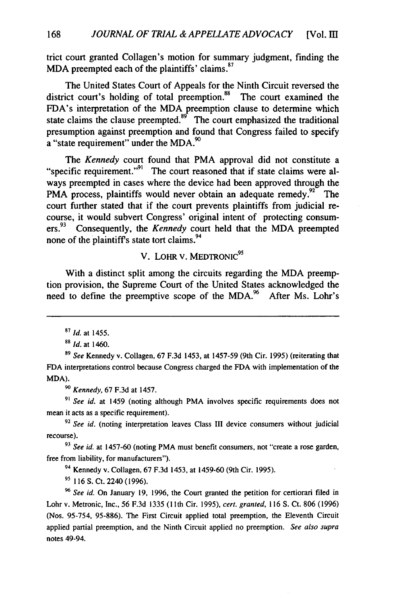trict court granted Collagen's motion for summary judgment, finding the MDA preempted each of the plaintiffs' claims. $87$ 

The United States Court of Appeals for the Ninth Circuit reversed the district court's holding of total preemption.<sup>88</sup> The court examined the FDA's interpretation of the MDA preemption clause to determine which state claims the clause preempted.<sup>89</sup> The court emphasized the traditional presumption against preemption and found that Congress failed to specify a "state requirement" under the MDA.<sup>90</sup>

*The Kennedy* court found that PMA approval did not constitute a "specific requirement."<sup>91</sup> The court reasoned that if state claims were always preempted in cases where the device had been approved through the PMA process, plaintiffs would never obtain an adequate remedy.<sup> $22^{\circ}$ </sup> The court further stated that if the court prevents plaintiffs from judicial recourse, it would subvert Congress' original intent of protecting consumers.<sup>93</sup> Consequently, the *Kennedy* court held that the MDA preempted none of the plaintiff's state tort claims.<sup>94</sup>

### V. LOHR V. MEDTRONIC<sup>95</sup>

With a distinct split among the circuits regarding the MDA preemption provision, the Supreme Court of the United States acknowledged the need to define the preemptive scope of the MDA.<sup>96</sup> After Ms. Lohr's

**<sup>90</sup>***Kennedy,* 67 F.3d at 1457.

**91** *See id.* at 1459 (noting although PMA involves specific requirements does not mean it acts as a specific requirement).

**<sup>92</sup>***See id.* (noting interpretation leaves Class III device consumers without judicial recourse).

**9'** *See id.* at 1457-60 (noting PMA must benefit consumers, not "create a rose garden, free from liability, for manufacturers").

<sup>94</sup>Kennedy v. Collagen, 67 F.3d 1453, at 1459-60 (9th Cir. 1995).

**9' 116** S. Ct. 2240 (1996).

**<sup>96</sup>***See id.* On January **19,** 1996, the Court granted the petition for certiorari filed in Lohr v. Metronic, Inc., 56 F.3d **1335 (11** th Cir. 1995), *cert. granted,* **116** S. Ct. 806 (1996) (Nos. 95-754, 95-886). The First Circuit applied total preemption, the Eleventh Circuit applied partial preemption, and the Ninth Circuit applied no preemption. *See also supra* notes 49-94.

*<sup>87</sup>Id.* at 1455.

*<sup>88</sup>Id.* at 1460.

**<sup>89</sup>***See* Kennedy v. Collagen, 67 F.3d 1453, at 1457-59 (9th Cir. 1995) (reiterating that **FDA** interpretations control because Congress charged the FDA with implementation of the MDA).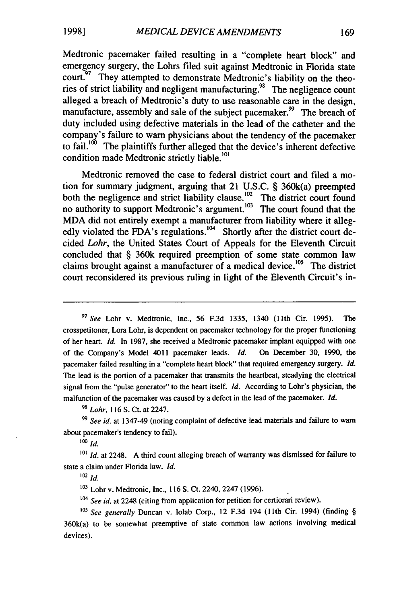Medtronic pacemaker failed resulting in a "complete heart block" and emergency surgery, the Lohrs filed suit against Medtronic in Florida state court. <sup>97</sup> They attempted to demonstrate Medtronic's liability on the theories of strict liability and negligent manufacturing." The negligence count alleged a breach of Medtronic's duty to use reasonable care in the design, manufacture, assembly and sale of the subject pacemaker.<sup>99</sup> The breach of duty included using defective materials in the lead of the catheter and the company's failure to warn physicians about the tendency of the pacemaker to fail.<sup>100</sup> The plaintiffs further alleged that the device's inherent defective condition made Medtronic strictly liable.<sup>101</sup>

Medtronic removed the case to federal district court and filed a motion for summary judgment, arguing that 21 U.S.C. § 360k(a) preempted both the negligence and strict liability clause.<sup>102</sup> The district court found no authority to support Medtronic's argument.<sup>103</sup> The court found that the MDA did not entirely exempt a manufacturer from liability where it allegedly violated the FDA's regulations.<sup>104</sup> Shortly after the district court decided *Lohr,* the United States Court of Appeals for the Eleventh Circuit concluded that § 360k required preemption of some state common law claims brought against a manufacturer of a medical device.<sup>105</sup> The district court reconsidered its previous ruling in light of the Eleventh Circuit's in-

*<sup>97</sup>See* Lohr v. Medtronic, Inc., 56 F.3d 1335, 1340 (11th Cir. 1995). The crosspetitoner, Lora Lohr, is dependent on pacemaker technology for the proper functioning of her heart. *Id.* In 1987, she received a Medtronic pacemaker implant equipped with one of the Company's Model 4011 pacemaker leads. *Id.* On December 30, 1990, the pacemaker failed resulting in a "complete heart block" that required emergency surgery. *Id.* The lead is the portion of a pacemaker that transmits the heartbeat, steadying the electrical signal from the "pulse generator" to the heart itself. *Id.* According to Lohr's physician, the malfunction of the pacemaker was caused by a defect in the lead of the pacemaker. *Id.*

**<sup>98</sup>***Lohr,* 116 S. Ct. at 2247.

*<sup>99</sup>See id.* at 1347-49 (noting complaint of defective lead materials and failure to warn about pacemaker's tendency to fail).

*<sup>100</sup>Id.*

<sup>101</sup> *Id.* at 2248. A third count alleging breach of warranty was dismissed for failure to state a claim under Florida law. *Id.*

**<sup>102</sup>***Id.*

**<sup>103</sup>**Lohr v. Medtronic, Inc., 116 **S.** Ct. 2240, 2247 (1996).

<sup>104</sup> See id. at 2248 (citing from application for petition for certiorari review).

<sup>105</sup> See generally Duncan v. Iolab Corp., 12 F.3d 194 (11th Cir. 1994) (finding § 360k(a) to be somewhat preemptive of state common law actions involving medical devices).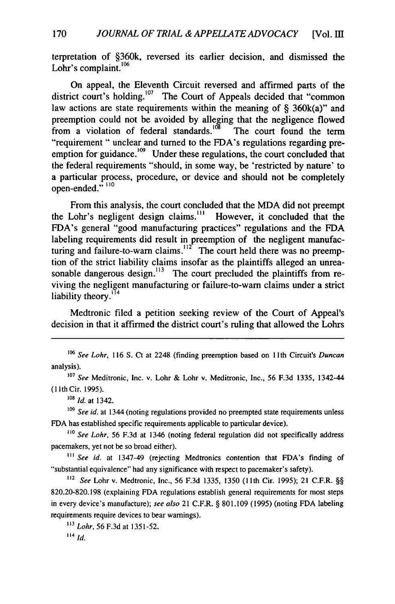terpretation of §360k, reversed its earlier decision, and dismissed the Lohr's complaint.<sup>106</sup>

On appeal, the Eleventh Circuit reversed and affirmed parts of the district court's holding.<sup>107</sup> The Court of Appeals decided that "common" law actions are state requirements within the meaning of  $\S$  360k(a)" and preemption could not be avoided by alleging that the negligence flowed from a violation of federal standards.<sup>108</sup> The court found the term "requirement " unclear and turned to the FDA's regulations regarding preemption for guidance. $109$  Under these regulations, the court concluded that the federal requirements "should, in some way, be 'restricted by nature' to a particular process, procedure, or device and should not be completely open-ended." 110

From this analysis, the court concluded that the MDA did not preempt the Lohr's negligent design claims.<sup>""</sup> However, it concluded that the FDA's general "good manufacturing practices" regulations and the FDA labeling requirements did result in preemption of the negligent manufacturing and failure-to-warn claims. $12^{\circ}$  The court held there was no preemption of the strict liability claims insofar as the plaintiffs alleged an unreasonable dangerous design. $113$  The court precluded the plaintiffs from reviving the negligent manufacturing or failure-to-warn claims under a strict liability theory.<sup>114</sup>

Medtronic filed a petition seeking review of the Court of Appeal's decision in that it affirmed the district court's ruling that allowed the Lohrs

*10' Id.* at 1342.

*<sup>109</sup>See id.* at 1344 (noting regulations provided no preempted state requirements unless FDA has established specific requirements applicable to particular device).

<sup>110</sup> *See Lohr*, 56 F.3d at 1346 (noting federal regulation did not specifically address pacemakers, yet not be so broad either).

**...** *See id.* at 1347-49 (rejecting Medtronics contention that FDA's finding of "substantial equivalence" had any significance with respect to pacemaker's safety).

<sup>112</sup>*See* Lohr v. Medtronic, Inc., 56 F.3d 1335, 1350 **(11** th Cir. 1995); 21 C.F.R. §§ 820.20-820.198 (explaining FDA regulations establish general requirements for most steps in every device's manufacture); *see also* 21 C.F.R. § 801.109 (1995) (noting FDA labeling requirements require devices to bear warnings).

*"' Lohr,* 56 F.3d at 1351-52. *14* id.

*<sup>106</sup>See Lohr,* 116 S. Ct at 2248 (finding preemption based on 1 th Circuit's *Duncan* analysis).

*<sup>107</sup>See* Meditronic, Inc. v. Lohr & Lohr v. Meditronic, Inc., 56 F.3d 1335, 1342-44 ( lIth Cir. 1995).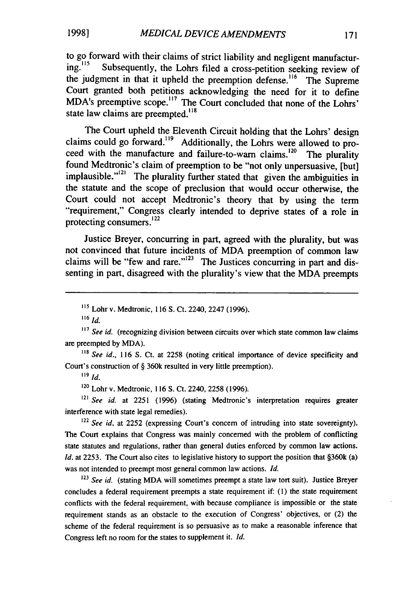to go forward with their claims of strict liability and negligent manufactur-<br>ing.<sup>115</sup> Subsequently, the Lohrs filed a cross petition socking review of Subsequently, the Lohrs filed a cross-petition seeking review of the judgment in that it upheld the preemption defense.<sup>116</sup> The Supreme Court granted both petitions acknowledging the need for it to define MDA's preemptive scope.<sup>17</sup> The Court concluded that none of the Lohrs' state law claims are preempted. $118$ 

The Court upheld the Eleventh Circuit holding that the Lohrs' design claims could go forward.<sup>119</sup> Additionally, the Lohrs were allowed to proceed with the manufacture and failure-to-warn claims.<sup>120</sup> The plurality found Medtronic's claim of preemption to be "not only unpersuasive, [but] implausible."<sup>121</sup> The plurality further stated that given the ambiguities in the statute and the scope of preclusion that would occur otherwise, the Court could not accept Medtronic's theory that by using the term "requirement," Congress clearly intended to deprive states of a role in protecting consumers. $^{122}$ 

Justice Breyer, concurring in part, agreed with the plurality, but was not convinced that future incidents of MDA preemption of common law claims will be "few and rare."<sup> $123$ </sup> The Justices concurring in part and dissenting in part, disagreed with the plurality's view that the MDA preempts

116 *id.*

<sup>118</sup> See id., 116 S. Ct. at 2258 (noting critical importance of device specificity and Court's construction of § 360k resulted in very little preemption).

*119* **Id.**

<sup>120</sup> Lohr v. Medtronic, 116 S. Ct. 2240, 2258 (1996).

*121 See id.* at 2251 (1996) (stating Medtronic's interpretation requires greater interference with state legal remedies).

<sup>122</sup> See id. at 2252 (expressing Court's concern of intruding into state sovereignty). The Court explains that Congress was mainly concerned with the problem of conflicting state statutes and regulations, rather than general duties enforced by common law actions. *Id.* at 2253. The Court also cites to legislative history to support the position that §360k (a) was not intended to preempt most general common law actions. *Id.*

<sup>123</sup> See id. (stating MDA will sometimes preempt a state law tort suit). Justice Breyer concludes a federal requirement preempts a state requirement if: (1) the state requirement conflicts with the federal requirement, with because compliance is impossible or the state requirement stands as an obstacle to the execution of Congress' objectives, or (2) the scheme of the federal requirement is so persuasive as to make a reasonable inference that Congress left no room for the states to supplement it. *Id.*

*<sup>115</sup>*Lohr v. Medtronic, 116 S. Ct. 2240, 2247 (1996).

<sup>&</sup>lt;sup>117</sup> See id. (recognizing division between circuits over which state common law claims are preempted by MDA).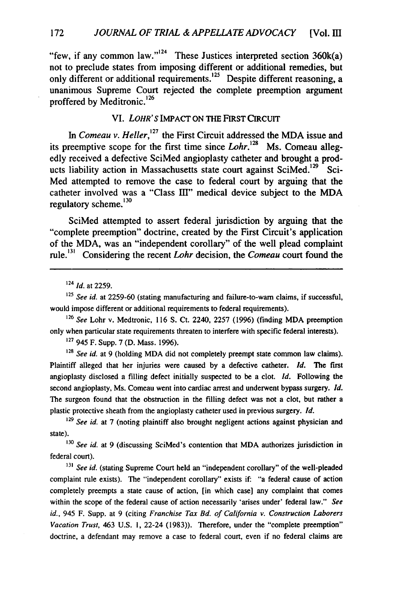"few, if any common law."<sup>124</sup> These Justices interpreted section  $360k(a)$ not to preclude states from imposing different or additional remedies, but only different or additional requirements.<sup>125</sup> Despite different reasoning, a unanimous Supreme Court rejected the complete preemption argument proffered by Meditronic.<sup>126</sup>

#### VI. *LOHR'S* IMPACT ON THE FIRST CIRCUIT

In *Comeau v. Heller*,<sup>127</sup> the First Circuit addressed the MDA issue and its preemptive scope for the first time since  $Lohr$ <sup>28</sup> Ms. Comeau allegedly received a defective SciMed angioplasty catheter and **brought** a products liability action in Massachusetts state court against SciMed.<sup>129</sup> Sci-Med attempted to remove the case to federal court **by** arguing that the catheter involved was a "Class III" medical device subject to the MDA regulatory scheme. $130$ 

SciMed attempted to assert federal jurisdiction **by** arguing that the "complete preemption" doctrine, created **by** the First Circuit's application of the MDA, was an "independent corollary" of the well plead complaint rule.<sup>131</sup> Considering the recent *Lohr* decision, the *Comeau* court found the

<sup>124</sup>*Id.* at **2259.**

*125 See id.* at **2259-60** (stating manufacturing and failure-to-warn claims, if successful, would impose different or additional requirements to federal requirements).

**<sup>126</sup>***See* Lohr v. Medtronic, **116 S.** Ct. 2240, **2257 (1996)** (finding MDA preemption only when particular state requirements threaten to interfere with specific federal interests).

**<sup>127</sup>**945 F. Supp. 7 (D. Mass. 1996).

**<sup>328</sup>***See id.* at 9 (holding MDA did not completely preempt state common law claims). Plaintiff alleged that her injuries were caused by a defective catheter. *Id.* The first angioplasty disclosed a filling defect initially suspected to be a clot. *Id.* Following the second angioplasty, Ms. Comeau went into cardiac arrest and underwent bypass surgery. *Id.* The surgeon found that the obstruction in the filling defect was not a clot, but rather a plastic protective sheath from the angioplasty catheter used in previous surgery. *Id.*

**<sup>129</sup>***See id.* at 7 (noting plaintiff also brought negligent actions against physician and state).

**<sup>130</sup>***See id.* at 9 (discussing SciMed's contention that MDA authorizes jurisdiction in federal court).

**<sup>131</sup>***See id.* (stating Supreme Court held an "independent corollary" of the well-pleaded complaint rule exists). The "independent corollary" exists if: "a federal cause of action completely preempts a state cause of action, [in which case] any complaint that comes within the scope of the federal cause of action necessarily 'arises under' federal law." *See id.,* 945 F. Supp. at 9 (citing *Franchise Tax Bd. of California v. Construction Laborers Vacation Trust,* 463 U.S. i, 22-24 (1983)). Therefore, under the "complete preemption" doctrine, a defendant may remove a case to federal court, even if no federal claims are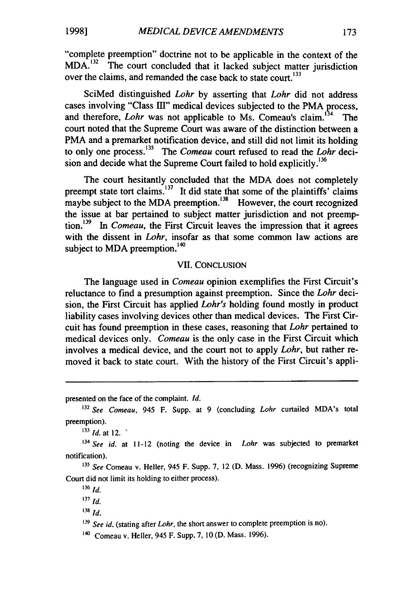"complete preemption" doctrine not to be applicable in the context of the  $MDA<sup>132</sup>$  The court concluded that it lacked subject matter jurisdiction over the claims, and remanded the case back to state court.<sup>133</sup>

SciMed distinguished *Lohr* by asserting that *Lohr* did not address cases involving "Class III" medical devices subjected to the PMA process, and therefore, *Lohr* was not applicable to Ms. Comeau's claim.<sup>134</sup> **<sup>4</sup>**The court noted that the Supreme Court was aware of the distinction between a PMA and a premarket notification device, and still did not limit its holding to only one process.135 The *Comeau* court refused to read the *Lohr* decision and decide what the Supreme Court failed to hold explicitly.<sup>136</sup>

The court hesitantly concluded that the MDA does not completely preempt state tort claims. $137$  It did state that some of the plaintiffs' claims maybe subject to the MDA preemption.<sup>138</sup> However, the court recognized the issue at bar pertained to subject matter jurisdiction and not preemption.<sup>139</sup> In *Comeau*, the First Circuit leaves the impression that it agrees with the dissent in *Lohr*, insofar as that some common law actions are subject to MDA preemption.<sup>140</sup>

#### VII. CONCLUSION

The language used in *Comeau* opinion exemplifies the First Circuit's reluctance to find a presumption against preemption. Since the *Lohr* decision, the First Circuit has applied *Lohr's* holding found mostly in product liability cases involving devices other than medical devices. The First Circuit has found preemption in these cases, reasoning that *Lohr* pertained to medical devices only. *Comeau* is the only case in the First Circuit which involves a medical device, and the court not to apply *Lohr,* but rather removed it back to state court. With the history of the First Circuit's appli-

presented on the face of the complaint. *Id.*

**<sup>132</sup>***See Comeau,* 945 F. Supp. at 9 (concluding *Lohr* curtailed MDA's total preemption).

 $^{133}$  *Id.* at 12.

*<sup>14</sup>See id.* at 11-12 (noting the device in *Lohr* was subjected to premarket notification).

**<sup>135</sup>***See* Comeau v. Heller, 945 F. Supp. 7, 12 (D. Mass. 1996) (recognizing Supreme Court did not limit its holding to either process).

**<sup>136</sup>***id.*

**<sup>137</sup>***Id.*

 $138$ **id.** 

**<sup>139</sup>***See id.* (stating after *Lohr,* the short answer to complete preemption is no).

<sup>&</sup>lt;sup>140</sup> Comeau v. Heller, 945 F. Supp. 7, 10 (D. Mass. 1996).